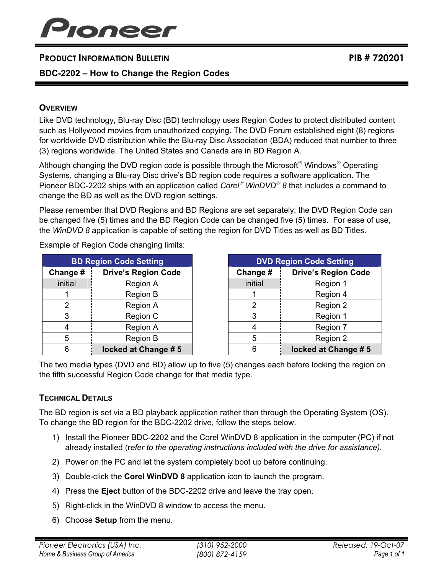# **PRODUCT INFORMATION BULLETIN PIB # 720201**

### **BDC-2202 – How to Change the Region Codes**

#### **OVERVIEW**

Like DVD technology, Blu-ray Disc (BD) technology uses Region Codes to protect distributed content such as Hollywood movies from unauthorized copying. The DVD Forum established eight (8) regions for worldwide DVD distribution while the Blu-ray Disc Association (BDA) reduced that number to three (3) regions worldwide. The United States and Canada are in BD Region A.

Although changing the DVD region code is possible through the Microsoft® Windows® Operating Systems, changing a Blu-ray Disc drive's BD region code requires a software application. The Pioneer BDC-2202 ships with an application called *Corel*® *WinDVD*® *8* that includes a command to change the BD as well as the DVD region settings.

Please remember that DVD Regions and BD Regions are set separately; the DVD Region Code can be changed five (5) times and the BD Region Code can be changed five (5) times. For ease of use, the *WinDVD 8* application is capable of setting the region for DVD Titles as well as BD Titles.

| <b>BD Region Code Setting</b> |                            | <b>DVD Region Code Settin</b> |                       |
|-------------------------------|----------------------------|-------------------------------|-----------------------|
| Change #                      | <b>Drive's Region Code</b> | Change #                      | <b>Drive's Region</b> |
| initial                       | Region A                   | initial                       | Region 1              |
|                               | Region B                   |                               | Region 4              |
| 2                             | Region A                   | 2                             | Region 2              |
| 3                             | Region C                   | 3                             | Region 1              |
| 4                             | Region A                   |                               | Region 7              |
| 5                             | Region B                   | 5                             | Region 2              |
|                               | locked at Change #5        |                               | locked at Chang       |

Example of Region Code changing limits:

| <b>BD Region Code Setting</b> |                            | <b>DVD Region Code Setting</b> |                            |
|-------------------------------|----------------------------|--------------------------------|----------------------------|
| Change #                      | <b>Drive's Region Code</b> | Change #                       | <b>Drive's Region Code</b> |
| initial                       | Region A                   | initial                        | Region 1                   |
|                               | Region B                   |                                | Region 4                   |
|                               | Region A                   | 2                              | Region 2                   |
| 3                             | Region C                   | 3                              | Region 1                   |
|                               | Region A                   | 4                              | Region 7                   |
| 5                             | <b>Region B</b>            | 5                              | Region 2                   |
| 6                             | locked at Change #5        | 6                              | locked at Change #5        |

The two media types (DVD and BD) allow up to five (5) changes each before locking the region on the fifth successful Region Code change for that media type.

#### **TECHNICAL DETAILS**

The BD region is set via a BD playback application rather than through the Operating System (OS). To change the BD region for the BDC-2202 drive, follow the steps below.

- 1) Install the Pioneer BDC-2202 and the Corel WinDVD 8 application in the computer (PC) if not already installed (r*efer to the operating instructions included with the drive for assistance).*
- 2) Power on the PC and let the system completely boot up before continuing.
- 3) Double-click the **Corel WinDVD 8** application icon to launch the program.
- 4) Press the **Eject** button of the BDC-2202 drive and leave the tray open.
- 5) Right-click in the WinDVD 8 window to access the menu.
- 6) Choose **Setup** from the menu.